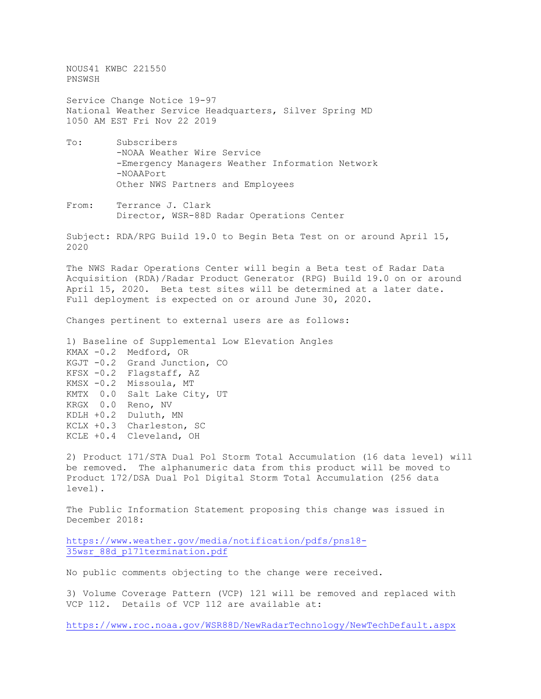NOUS41 KWBC 221550 PNSWSH

Service Change Notice 19-97 National Weather Service Headquarters, Silver Spring MD 1050 AM EST Fri Nov 22 2019

- To: Subscribers -NOAA Weather Wire Service -Emergency Managers Weather Information Network -NOAAPort Other NWS Partners and Employees
- From: Terrance J. Clark Director, WSR-88D Radar Operations Center

Subject: RDA/RPG Build 19.0 to Begin Beta Test on or around April 15, 2020

The NWS Radar Operations Center will begin a Beta test of Radar Data Acquisition (RDA)/Radar Product Generator (RPG) Build 19.0 on or around April 15, 2020. Beta test sites will be determined at a later date. Full deployment is expected on or around June 30, 2020.

Changes pertinent to external users are as follows:

1) Baseline of Supplemental Low Elevation Angles KMAX -0.2 Medford, OR KGJT -0.2 Grand Junction, CO KFSX -0.2 Flagstaff, AZ KMSX -0.2 Missoula, MT KMTX 0.0 Salt Lake City, UT KRGX 0.0 Reno, NV KDLH +0.2 Duluth, MN KCLX +0.3 Charleston, SC KCLE +0.4 Cleveland, OH

2) Product 171/STA Dual Pol Storm Total Accumulation (16 data level) will be removed. The alphanumeric data from this product will be moved to Product 172/DSA Dual Pol Digital Storm Total Accumulation (256 data level).

The Public Information Statement proposing this change was issued in December 2018:

[https://www.weather.gov/media/notification/pdfs/pns18-](https://www.weather.gov/media/notification/pdfs/pns18-35wsr_88d_p171termination.pdf) [35wsr\\_88d\\_p171termination.pdf](https://www.weather.gov/media/notification/pdfs/pns18-35wsr_88d_p171termination.pdf)

No public comments objecting to the change were received.

3) Volume Coverage Pattern (VCP) 121 will be removed and replaced with VCP 112. Details of VCP 112 are available at:

<https://www.roc.noaa.gov/WSR88D/NewRadarTechnology/NewTechDefault.aspx>